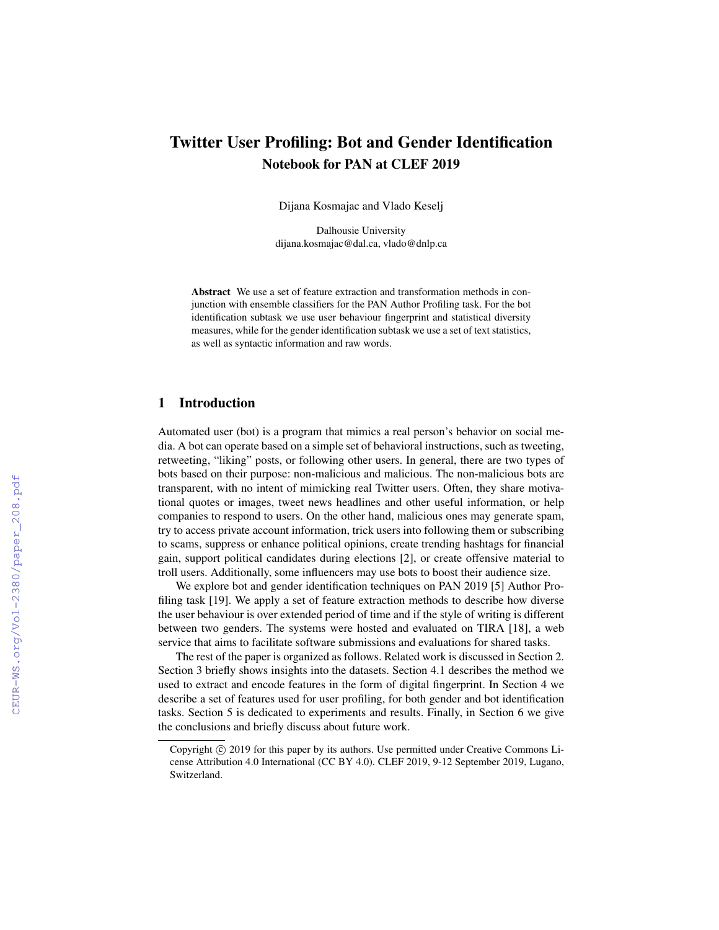# Twitter User Profiling: Bot and Gender Identification Notebook for PAN at CLEF 2019

Dijana Kosmajac and Vlado Keselj

Dalhousie University dijana.kosmajac@dal.ca, vlado@dnlp.ca

Abstract We use a set of feature extraction and transformation methods in conjunction with ensemble classifiers for the PAN Author Profiling task. For the bot identification subtask we use user behaviour fingerprint and statistical diversity measures, while for the gender identification subtask we use a set of text statistics, as well as syntactic information and raw words.

### 1 Introduction

Automated user (bot) is a program that mimics a real person's behavior on social media. A bot can operate based on a simple set of behavioral instructions, such as tweeting, retweeting, "liking" posts, or following other users. In general, there are two types of bots based on their purpose: non-malicious and malicious. The non-malicious bots are transparent, with no intent of mimicking real Twitter users. Often, they share motivational quotes or images, tweet news headlines and other useful information, or help companies to respond to users. On the other hand, malicious ones may generate spam, try to access private account information, trick users into following them or subscribing to scams, suppress or enhance political opinions, create trending hashtags for financial gain, support political candidates during elections [2], or create offensive material to troll users. Additionally, some influencers may use bots to boost their audience size.

We explore bot and gender identification techniques on PAN 2019 [5] Author Profiling task [19]. We apply a set of feature extraction methods to describe how diverse the user behaviour is over extended period of time and if the style of writing is different between two genders. The systems were hosted and evaluated on TIRA [18], a web service that aims to facilitate software submissions and evaluations for shared tasks.

The rest of the paper is organized as follows. Related work is discussed in Section 2. Section 3 briefly shows insights into the datasets. Section 4.1 describes the method we used to extract and encode features in the form of digital fingerprint. In Section 4 we describe a set of features used for user profiling, for both gender and bot identification tasks. Section 5 is dedicated to experiments and results. Finally, in Section 6 we give the conclusions and briefly discuss about future work.

Copyright © 2019 for this paper by its authors. Use permitted under Creative Commons License Attribution 4.0 International (CC BY 4.0). CLEF 2019, 9-12 September 2019, Lugano, Switzerland.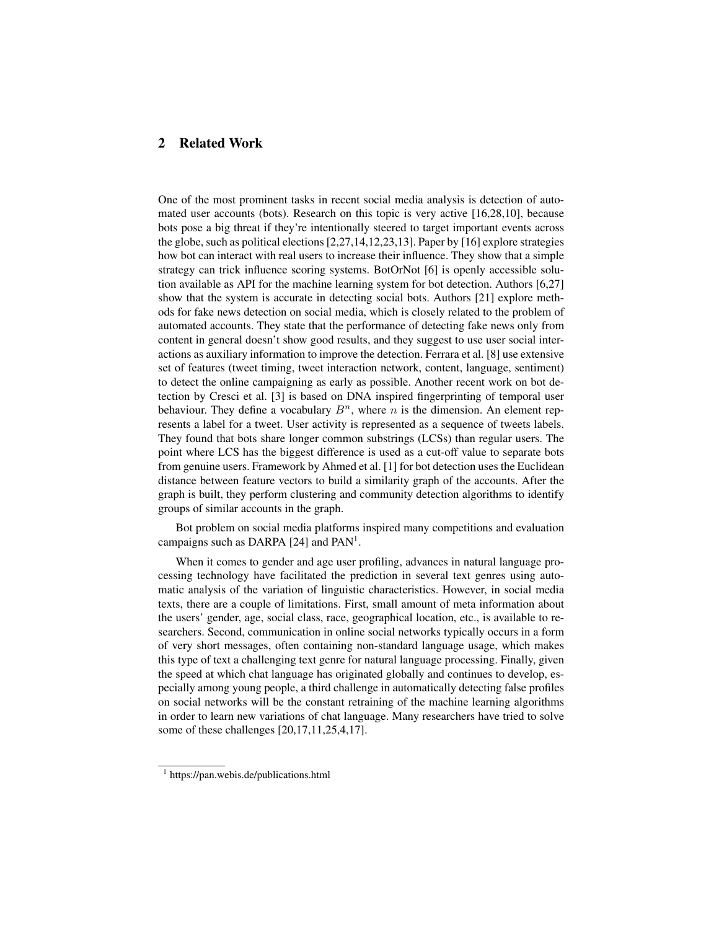## 2 Related Work

One of the most prominent tasks in recent social media analysis is detection of automated user accounts (bots). Research on this topic is very active [16,28,10], because bots pose a big threat if they're intentionally steered to target important events across the globe, such as political elections [2,27,14,12,23,13]. Paper by [16] explore strategies how bot can interact with real users to increase their influence. They show that a simple strategy can trick influence scoring systems. BotOrNot [6] is openly accessible solution available as API for the machine learning system for bot detection. Authors [6,27] show that the system is accurate in detecting social bots. Authors [21] explore methods for fake news detection on social media, which is closely related to the problem of automated accounts. They state that the performance of detecting fake news only from content in general doesn't show good results, and they suggest to use user social interactions as auxiliary information to improve the detection. Ferrara et al. [8] use extensive set of features (tweet timing, tweet interaction network, content, language, sentiment) to detect the online campaigning as early as possible. Another recent work on bot detection by Cresci et al. [3] is based on DNA inspired fingerprinting of temporal user behaviour. They define a vocabulary  $B<sup>n</sup>$ , where n is the dimension. An element represents a label for a tweet. User activity is represented as a sequence of tweets labels. They found that bots share longer common substrings (LCSs) than regular users. The point where LCS has the biggest difference is used as a cut-off value to separate bots from genuine users. Framework by Ahmed et al. [1] for bot detection uses the Euclidean distance between feature vectors to build a similarity graph of the accounts. After the graph is built, they perform clustering and community detection algorithms to identify groups of similar accounts in the graph.

Bot problem on social media platforms inspired many competitions and evaluation campaigns such as DARPA [24] and  $PAN<sup>1</sup>$ .

When it comes to gender and age user profiling, advances in natural language processing technology have facilitated the prediction in several text genres using automatic analysis of the variation of linguistic characteristics. However, in social media texts, there are a couple of limitations. First, small amount of meta information about the users' gender, age, social class, race, geographical location, etc., is available to researchers. Second, communication in online social networks typically occurs in a form of very short messages, often containing non-standard language usage, which makes this type of text a challenging text genre for natural language processing. Finally, given the speed at which chat language has originated globally and continues to develop, especially among young people, a third challenge in automatically detecting false profiles on social networks will be the constant retraining of the machine learning algorithms in order to learn new variations of chat language. Many researchers have tried to solve some of these challenges [20,17,11,25,4,17].

<sup>1</sup> https://pan.webis.de/publications.html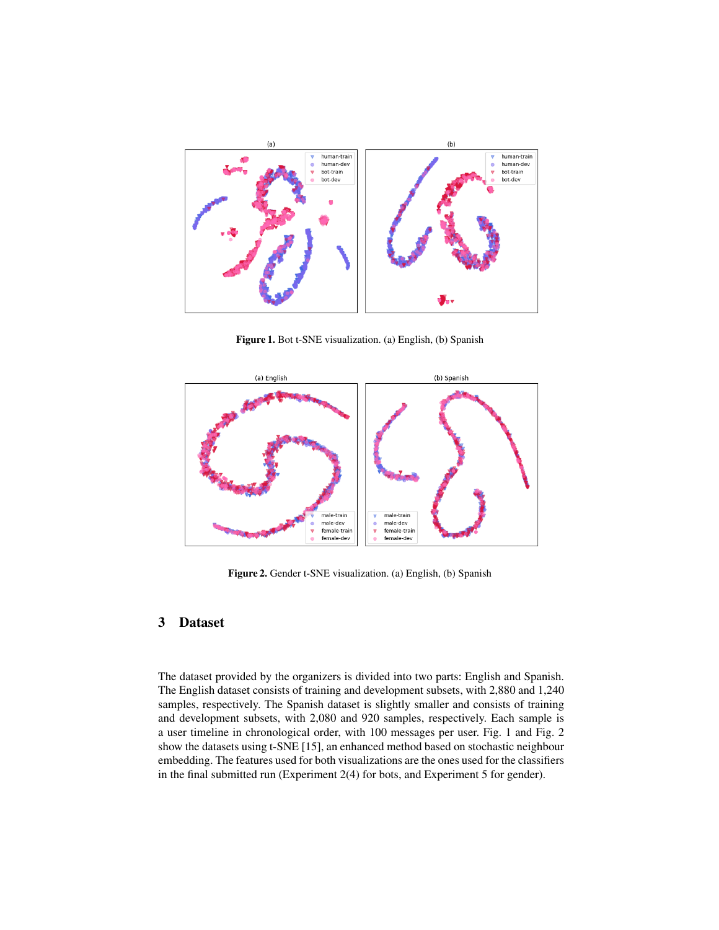

Figure 1. Bot t-SNE visualization. (a) English, (b) Spanish



Figure 2. Gender t-SNE visualization. (a) English, (b) Spanish

# 3 Dataset

The dataset provided by the organizers is divided into two parts: English and Spanish. The English dataset consists of training and development subsets, with 2,880 and 1,240 samples, respectively. The Spanish dataset is slightly smaller and consists of training and development subsets, with 2,080 and 920 samples, respectively. Each sample is a user timeline in chronological order, with 100 messages per user. Fig. 1 and Fig. 2 show the datasets using t-SNE [15], an enhanced method based on stochastic neighbour embedding. The features used for both visualizations are the ones used for the classifiers in the final submitted run (Experiment 2(4) for bots, and Experiment 5 for gender).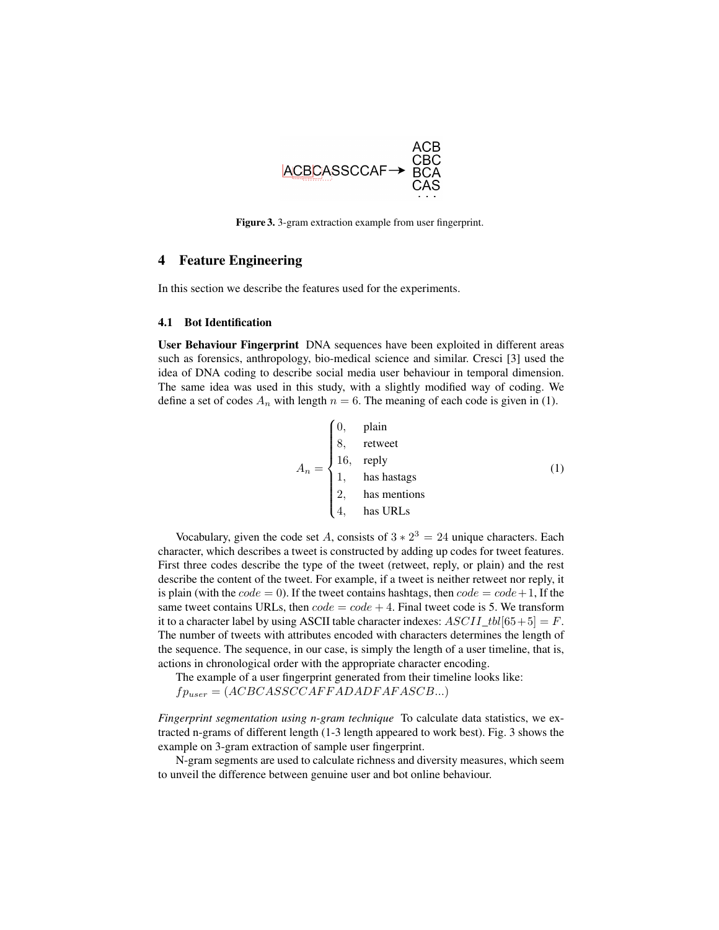

Figure 3. 3-gram extraction example from user fingerprint.

### 4 Feature Engineering

In this section we describe the features used for the experiments.

#### 4.1 Bot Identification

User Behaviour Fingerprint DNA sequences have been exploited in different areas such as forensics, anthropology, bio-medical science and similar. Cresci [3] used the idea of DNA coding to describe social media user behaviour in temporal dimension. The same idea was used in this study, with a slightly modified way of coding. We define a set of codes  $A_n$  with length  $n = 6$ . The meaning of each code is given in (1).

$$
A_n = \begin{cases} 0, & \text{plain} \\ 8, & \text{retweet} \\ 16, & \text{reply} \\ 1, & \text{has hatsags} \\ 2, & \text{has mentions} \\ 4, & \text{has URLs} \end{cases}
$$
 (1)

Vocabulary, given the code set A, consists of  $3 \times 2^3 = 24$  unique characters. Each character, which describes a tweet is constructed by adding up codes for tweet features. First three codes describe the type of the tweet (retweet, reply, or plain) and the rest describe the content of the tweet. For example, if a tweet is neither retweet nor reply, it is plain (with the  $code = 0$ ). If the tweet contains hashtags, then  $code = code + 1$ , If the same tweet contains URLs, then  $code = code + 4$ . Final tweet code is 5. We transform it to a character label by using ASCII table character indexes:  $ASCII$  tbl[65+5] = F. The number of tweets with attributes encoded with characters determines the length of the sequence. The sequence, in our case, is simply the length of a user timeline, that is, actions in chronological order with the appropriate character encoding.

The example of a user fingerprint generated from their timeline looks like:  $fp_{user} = (ACBCASSCCAFFADADFAFASCB...)$ 

*Fingerprint segmentation using n-gram technique* To calculate data statistics, we extracted n-grams of different length (1-3 length appeared to work best). Fig. 3 shows the example on 3-gram extraction of sample user fingerprint.

N-gram segments are used to calculate richness and diversity measures, which seem to unveil the difference between genuine user and bot online behaviour.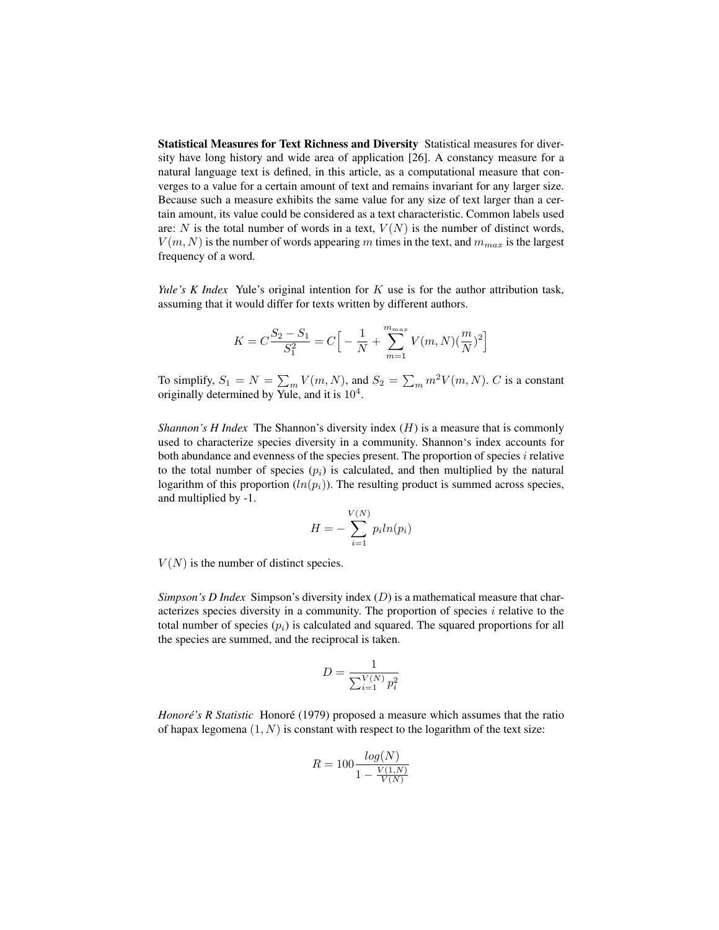Statistical Measures for Text Richness and Diversity Statistical measures for diversity have long history and wide area of application [26]. A constancy measure for a natural language text is defined, in this article, as a computational measure that converges to a value for a certain amount of text and remains invariant for any larger size. Because such a measure exhibits the same value for any size of text larger than a certain amount, its value could be considered as a text characteristic. Common labels used are: N is the total number of words in a text,  $V(N)$  is the number of distinct words,  $V(m, N)$  is the number of words appearing m times in the text, and  $m_{max}$  is the largest frequency of a word.

*Yule's K Index* Yule's original intention for K use is for the author attribution task, assuming that it would differ for texts written by different authors.

$$
K=C\frac{S_2-S_1}{S_1^2}=C\Big[-\frac{1}{N}+\sum_{m=1}^{m_{max}}V(m,N)(\frac{m}{N})^2\Big]
$$

To simplify,  $S_1 = N = \sum_m V(m, N)$ , and  $S_2 = \sum_m m^2 V(m, N)$ . C is a constant originally determined by Yule, and it is  $10<sup>4</sup>$ .

*Shannon's H Index* The Shannon's diversity index (H) is a measure that is commonly used to characterize species diversity in a community. Shannon's index accounts for both abundance and evenness of the species present. The proportion of species  $i$  relative to the total number of species  $(p_i)$  is calculated, and then multiplied by the natural logarithm of this proportion  $(ln(p_i))$ . The resulting product is summed across species, and multiplied by -1.

$$
H = -\sum_{i=1}^{V(N)} p_i ln(p_i)
$$

 $V(N)$  is the number of distinct species.

*Simpson's D Index* Simpson's diversity index (D) is a mathematical measure that characterizes species diversity in a community. The proportion of species  $i$  relative to the total number of species  $(p_i)$  is calculated and squared. The squared proportions for all the species are summed, and the reciprocal is taken.

$$
D = \frac{1}{\sum_{i=1}^{V(N)} p_i^2}
$$

*Honoré's R Statistic* Honoré (1979) proposed a measure which assumes that the ratio of hapax legomena  $(1, N)$  is constant with respect to the logarithm of the text size:

$$
R = 100 \frac{log(N)}{1 - \frac{V(1, N)}{V(N)}}
$$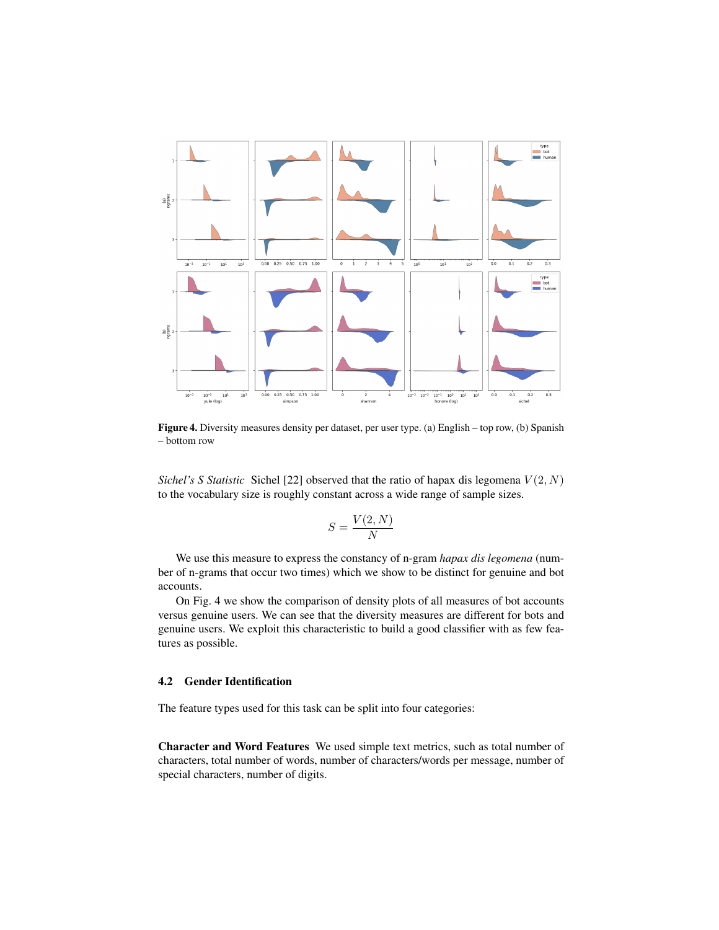

Figure 4. Diversity measures density per dataset, per user type. (a) English – top row, (b) Spanish – bottom row

*Sichel's S Statistic* Sichel [22] observed that the ratio of hapax dis legomena  $V(2, N)$ to the vocabulary size is roughly constant across a wide range of sample sizes.

$$
S = \frac{V(2, N)}{N}
$$

We use this measure to express the constancy of n-gram *hapax dis legomena* (number of n-grams that occur two times) which we show to be distinct for genuine and bot accounts.

On Fig. 4 we show the comparison of density plots of all measures of bot accounts versus genuine users. We can see that the diversity measures are different for bots and genuine users. We exploit this characteristic to build a good classifier with as few features as possible.

#### 4.2 Gender Identification

The feature types used for this task can be split into four categories:

Character and Word Features We used simple text metrics, such as total number of characters, total number of words, number of characters/words per message, number of special characters, number of digits.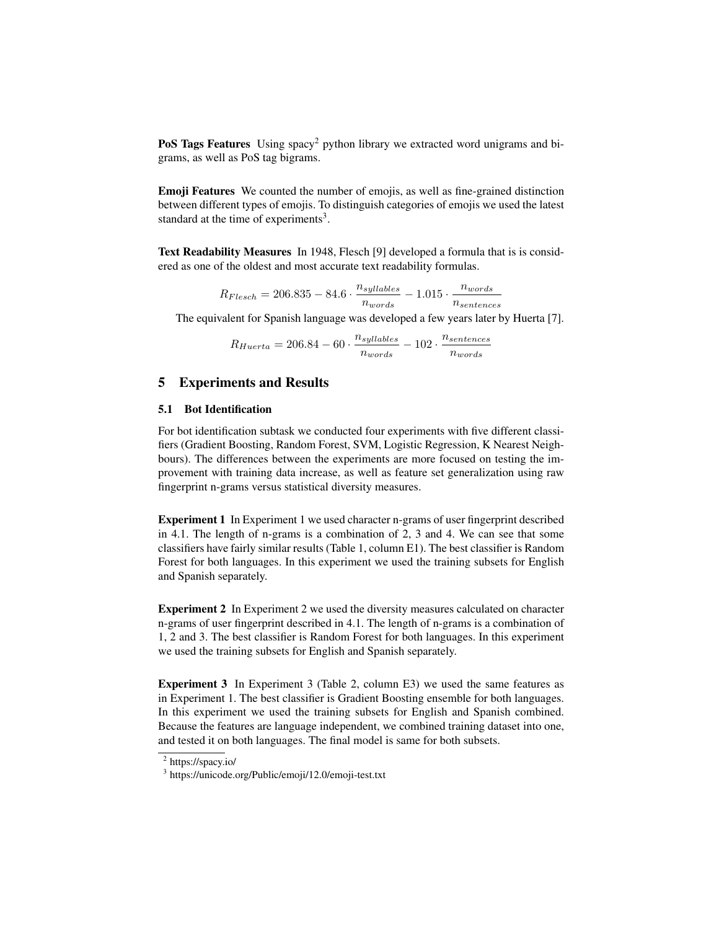PoS Tags Features Using spacy<sup>2</sup> python library we extracted word unigrams and bigrams, as well as PoS tag bigrams.

Emoji Features We counted the number of emojis, as well as fine-grained distinction between different types of emojis. To distinguish categories of emojis we used the latest standard at the time of experiments<sup>3</sup>.

Text Readability Measures In 1948, Flesch [9] developed a formula that is is considered as one of the oldest and most accurate text readability formulas.

$$
R_{Flesch} = 206.835 - 84.6 \cdot \frac{n_{syllables}}{n_{words}} - 1.015 \cdot \frac{n_{words}}{n_{sentences}}
$$

The equivalent for Spanish language was developed a few years later by Huerta [7].

$$
R_{Huerta} = 206.84 - 60 \cdot \frac{n_{syllables}}{n_{words}} - 102 \cdot \frac{n_{sentences}}{n_{words}}
$$

## 5 Experiments and Results

#### 5.1 Bot Identification

For bot identification subtask we conducted four experiments with five different classifiers (Gradient Boosting, Random Forest, SVM, Logistic Regression, K Nearest Neighbours). The differences between the experiments are more focused on testing the improvement with training data increase, as well as feature set generalization using raw fingerprint n-grams versus statistical diversity measures.

Experiment 1 In Experiment 1 we used character n-grams of user fingerprint described in 4.1. The length of n-grams is a combination of 2, 3 and 4. We can see that some classifiers have fairly similar results (Table 1, column E1). The best classifier is Random Forest for both languages. In this experiment we used the training subsets for English and Spanish separately.

Experiment 2 In Experiment 2 we used the diversity measures calculated on character n-grams of user fingerprint described in 4.1. The length of n-grams is a combination of 1, 2 and 3. The best classifier is Random Forest for both languages. In this experiment we used the training subsets for English and Spanish separately.

Experiment 3 In Experiment 3 (Table 2, column E3) we used the same features as in Experiment 1. The best classifier is Gradient Boosting ensemble for both languages. In this experiment we used the training subsets for English and Spanish combined. Because the features are language independent, we combined training dataset into one, and tested it on both languages. The final model is same for both subsets.

<sup>&</sup>lt;sup>2</sup> https://spacy.io/

<sup>3</sup> https://unicode.org/Public/emoji/12.0/emoji-test.txt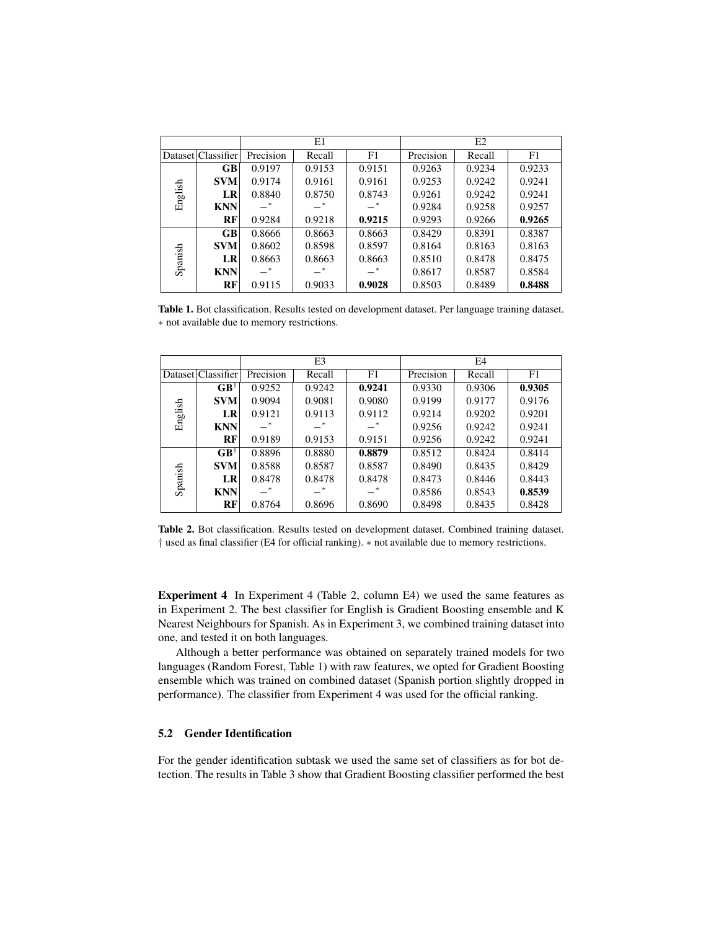|         |                    | E1        |        |        | E2        |        |        |
|---------|--------------------|-----------|--------|--------|-----------|--------|--------|
|         | Dataset Classifier | Precision | Recall | F1     | Precision | Recall | F1     |
| English | GB                 | 0.9197    | 0.9153 | 0.9151 | 0.9263    | 0.9234 | 0.9233 |
|         | <b>SVM</b>         | 0.9174    | 0.9161 | 0.9161 | 0.9253    | 0.9242 | 0.9241 |
|         | LR                 | 0.8840    | 0.8750 | 0.8743 | 0.9261    | 0.9242 | 0.9241 |
|         | <b>KNN</b>         | _*        | $-$ *  | _*     | 0.9284    | 0.9258 | 0.9257 |
|         | RF                 | 0.9284    | 0.9218 | 0.9215 | 0.9293    | 0.9266 | 0.9265 |
| Spanish | <b>GB</b>          | 0.8666    | 0.8663 | 0.8663 | 0.8429    | 0.8391 | 0.8387 |
|         | <b>SVM</b>         | 0.8602    | 0.8598 | 0.8597 | 0.8164    | 0.8163 | 0.8163 |
|         | LR                 | 0.8663    | 0.8663 | 0.8663 | 0.8510    | 0.8478 | 0.8475 |
|         | <b>KNN</b>         | _*        | $-$ *  | _*     | 0.8617    | 0.8587 | 0.8584 |
|         | RF                 | 0.9115    | 0.9033 | 0.9028 | 0.8503    | 0.8489 | 0.8488 |

Table 1. Bot classification. Results tested on development dataset. Per language training dataset. ∗ not available due to memory restrictions.

|         |                                  | E <sub>3</sub>             |        | E <sub>4</sub> |           |        |        |
|---------|----------------------------------|----------------------------|--------|----------------|-----------|--------|--------|
|         | Dataset   Classifier             | Precision                  | Recall | F1             | Precision | Recall | F1     |
| English | $\mathbf{G}\mathbf{B}^{\dagger}$ | 0.9252                     | 0.9242 | 0.9241         | 0.9330    | 0.9306 | 0.9305 |
|         | <b>SVM</b>                       | 0.9094                     | 0.9081 | 0.9080         | 0.9199    | 0.9177 | 0.9176 |
|         | LR                               | 0.9121                     | 0.9113 | 0.9112         | 0.9214    | 0.9202 | 0.9201 |
|         | <b>KNN</b>                       | $-$ *                      | $ ^*$  | $-$ *          | 0.9256    | 0.9242 | 0.9241 |
|         | RF                               | 0.9189                     | 0.9153 | 0.9151         | 0.9256    | 0.9242 | 0.9241 |
| Spanish | $GB^{\dagger}$                   | 0.8896                     | 0.8880 | 0.8879         | 0.8512    | 0.8424 | 0.8414 |
|         | <b>SVM</b>                       | 0.8588                     | 0.8587 | 0.8587         | 0.8490    | 0.8435 | 0.8429 |
|         | LR                               | 0.8478                     | 0.8478 | 0.8478         | 0.8473    | 0.8446 | 0.8443 |
|         | <b>KNN</b>                       | $\overline{\phantom{a}}^*$ | $-$ *  | $-$ *          | 0.8586    | 0.8543 | 0.8539 |
|         | RF                               | 0.8764                     | 0.8696 | 0.8690         | 0.8498    | 0.8435 | 0.8428 |

Table 2. Bot classification. Results tested on development dataset. Combined training dataset. † used as final classifier (E4 for official ranking). ∗ not available due to memory restrictions.

Experiment 4 In Experiment 4 (Table 2, column E4) we used the same features as in Experiment 2. The best classifier for English is Gradient Boosting ensemble and K Nearest Neighbours for Spanish. As in Experiment 3, we combined training dataset into one, and tested it on both languages.

Although a better performance was obtained on separately trained models for two languages (Random Forest, Table 1) with raw features, we opted for Gradient Boosting ensemble which was trained on combined dataset (Spanish portion slightly dropped in performance). The classifier from Experiment 4 was used for the official ranking.

#### 5.2 Gender Identification

For the gender identification subtask we used the same set of classifiers as for bot detection. The results in Table 3 show that Gradient Boosting classifier performed the best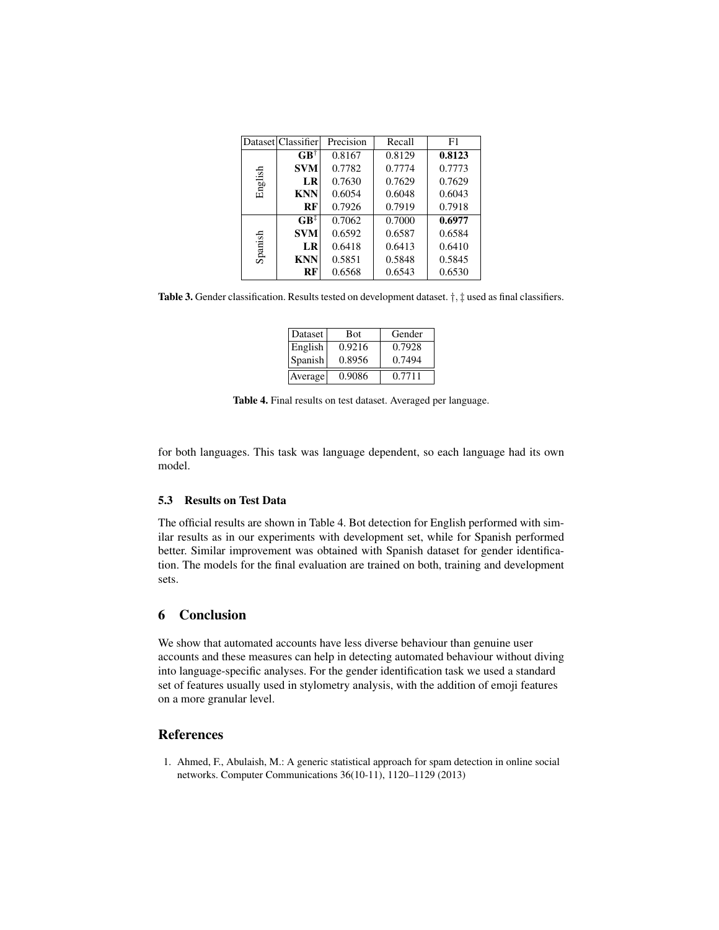|         | Dataset   Classifier             | Precision | Recall | F1     |
|---------|----------------------------------|-----------|--------|--------|
|         | $\mathbf{G}\mathbf{B}^{\dagger}$ | 0.8167    | 0.8129 | 0.8123 |
|         | <b>SVM</b>                       | 0.7782    | 0.7774 | 0.7773 |
| English | LR                               | 0.7630    | 0.7629 | 0.7629 |
|         | <b>KNN</b>                       | 0.6054    | 0.6048 | 0.6043 |
|         | RF                               | 0.7926    | 0.7919 | 0.7918 |
|         | $GB^{\ddagger}$                  | 0.7062    | 0.7000 | 0.6977 |
|         | <b>SVM</b>                       | 0.6592    | 0.6587 | 0.6584 |
| Spanish | LR                               | 0.6418    | 0.6413 | 0.6410 |
|         | <b>KNN</b>                       | 0.5851    | 0.5848 | 0.5845 |
|         | RF                               | 0.6568    | 0.6543 | 0.6530 |

Table 3. Gender classification. Results tested on development dataset. †, ‡ used as final classifiers.

| Dataset | <b>Bot</b> | Gender |
|---------|------------|--------|
| English | 0.9216     | 0.7928 |
| Spanish | 0.8956     | 0.7494 |
| Average | 0.9086     | 0.7711 |

Table 4. Final results on test dataset. Averaged per language.

for both languages. This task was language dependent, so each language had its own model.

### 5.3 Results on Test Data

The official results are shown in Table 4. Bot detection for English performed with similar results as in our experiments with development set, while for Spanish performed better. Similar improvement was obtained with Spanish dataset for gender identification. The models for the final evaluation are trained on both, training and development sets.

## 6 Conclusion

We show that automated accounts have less diverse behaviour than genuine user accounts and these measures can help in detecting automated behaviour without diving into language-specific analyses. For the gender identification task we used a standard set of features usually used in stylometry analysis, with the addition of emoji features on a more granular level.

## References

1. Ahmed, F., Abulaish, M.: A generic statistical approach for spam detection in online social networks. Computer Communications 36(10-11), 1120–1129 (2013)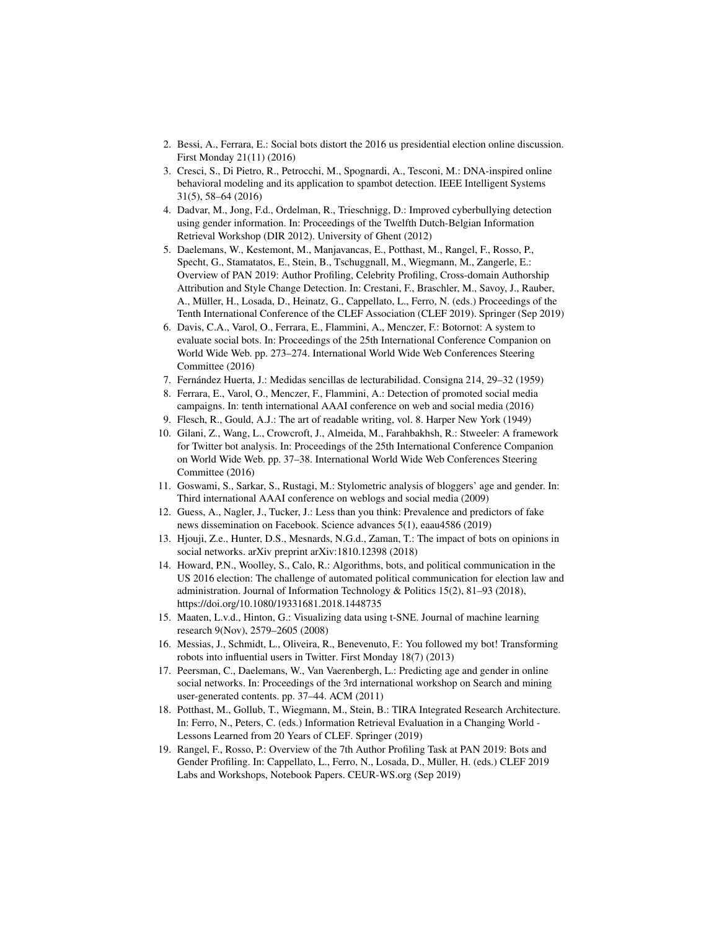- 2. Bessi, A., Ferrara, E.: Social bots distort the 2016 us presidential election online discussion. First Monday 21(11) (2016)
- 3. Cresci, S., Di Pietro, R., Petrocchi, M., Spognardi, A., Tesconi, M.: DNA-inspired online behavioral modeling and its application to spambot detection. IEEE Intelligent Systems 31(5), 58–64 (2016)
- 4. Dadvar, M., Jong, F.d., Ordelman, R., Trieschnigg, D.: Improved cyberbullying detection using gender information. In: Proceedings of the Twelfth Dutch-Belgian Information Retrieval Workshop (DIR 2012). University of Ghent (2012)
- 5. Daelemans, W., Kestemont, M., Manjavancas, E., Potthast, M., Rangel, F., Rosso, P., Specht, G., Stamatatos, E., Stein, B., Tschuggnall, M., Wiegmann, M., Zangerle, E.: Overview of PAN 2019: Author Profiling, Celebrity Profiling, Cross-domain Authorship Attribution and Style Change Detection. In: Crestani, F., Braschler, M., Savoy, J., Rauber, A., Müller, H., Losada, D., Heinatz, G., Cappellato, L., Ferro, N. (eds.) Proceedings of the Tenth International Conference of the CLEF Association (CLEF 2019). Springer (Sep 2019)
- 6. Davis, C.A., Varol, O., Ferrara, E., Flammini, A., Menczer, F.: Botornot: A system to evaluate social bots. In: Proceedings of the 25th International Conference Companion on World Wide Web. pp. 273–274. International World Wide Web Conferences Steering Committee (2016)
- 7. Fernández Huerta, J.: Medidas sencillas de lecturabilidad. Consigna 214, 29–32 (1959)
- 8. Ferrara, E., Varol, O., Menczer, F., Flammini, A.: Detection of promoted social media campaigns. In: tenth international AAAI conference on web and social media (2016)
- 9. Flesch, R., Gould, A.J.: The art of readable writing, vol. 8. Harper New York (1949)
- 10. Gilani, Z., Wang, L., Crowcroft, J., Almeida, M., Farahbakhsh, R.: Stweeler: A framework for Twitter bot analysis. In: Proceedings of the 25th International Conference Companion on World Wide Web. pp. 37–38. International World Wide Web Conferences Steering Committee (2016)
- 11. Goswami, S., Sarkar, S., Rustagi, M.: Stylometric analysis of bloggers' age and gender. In: Third international AAAI conference on weblogs and social media (2009)
- 12. Guess, A., Nagler, J., Tucker, J.: Less than you think: Prevalence and predictors of fake news dissemination on Facebook. Science advances 5(1), eaau4586 (2019)
- 13. Hjouji, Z.e., Hunter, D.S., Mesnards, N.G.d., Zaman, T.: The impact of bots on opinions in social networks. arXiv preprint arXiv:1810.12398 (2018)
- 14. Howard, P.N., Woolley, S., Calo, R.: Algorithms, bots, and political communication in the US 2016 election: The challenge of automated political communication for election law and administration. Journal of Information Technology & Politics 15(2), 81–93 (2018), https://doi.org/10.1080/19331681.2018.1448735
- 15. Maaten, L.v.d., Hinton, G.: Visualizing data using t-SNE. Journal of machine learning research 9(Nov), 2579–2605 (2008)
- 16. Messias, J., Schmidt, L., Oliveira, R., Benevenuto, F.: You followed my bot! Transforming robots into influential users in Twitter. First Monday 18(7) (2013)
- 17. Peersman, C., Daelemans, W., Van Vaerenbergh, L.: Predicting age and gender in online social networks. In: Proceedings of the 3rd international workshop on Search and mining user-generated contents. pp. 37–44. ACM (2011)
- 18. Potthast, M., Gollub, T., Wiegmann, M., Stein, B.: TIRA Integrated Research Architecture. In: Ferro, N., Peters, C. (eds.) Information Retrieval Evaluation in a Changing World - Lessons Learned from 20 Years of CLEF. Springer (2019)
- 19. Rangel, F., Rosso, P.: Overview of the 7th Author Profiling Task at PAN 2019: Bots and Gender Profiling. In: Cappellato, L., Ferro, N., Losada, D., Müller, H. (eds.) CLEF 2019 Labs and Workshops, Notebook Papers. CEUR-WS.org (Sep 2019)